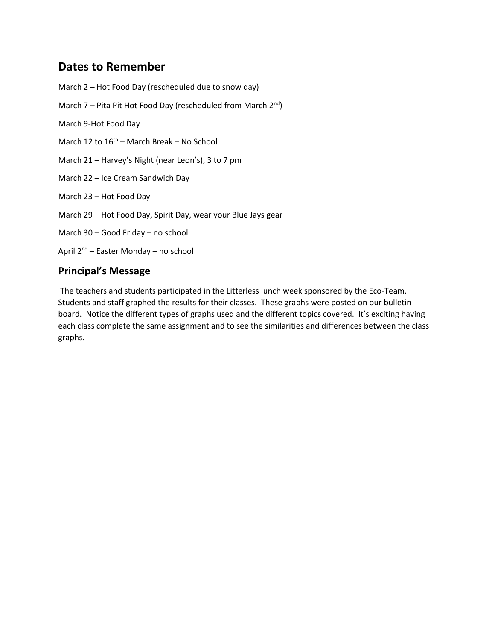# **Dates to Remember**

March 2 – Hot Food Day (rescheduled due to snow day) March 7 – Pita Pit Hot Food Day (rescheduled from March  $2^{nd}$ ) March 9-Hot Food Day March 12 to  $16<sup>th</sup>$  – March Break – No School March 21 – Harvey's Night (near Leon's), 3 to 7 pm March 22 – Ice Cream Sandwich Day March 23 – Hot Food Day March 29 – Hot Food Day, Spirit Day, wear your Blue Jays gear March 30 – Good Friday – no school April  $2^{nd}$  – Easter Monday – no school

## **Principal's Message**

The teachers and students participated in the Litterless lunch week sponsored by the Eco-Team. Students and staff graphed the results for their classes. These graphs were posted on our bulletin board. Notice the different types of graphs used and the different topics covered. It's exciting having each class complete the same assignment and to see the similarities and differences between the class graphs.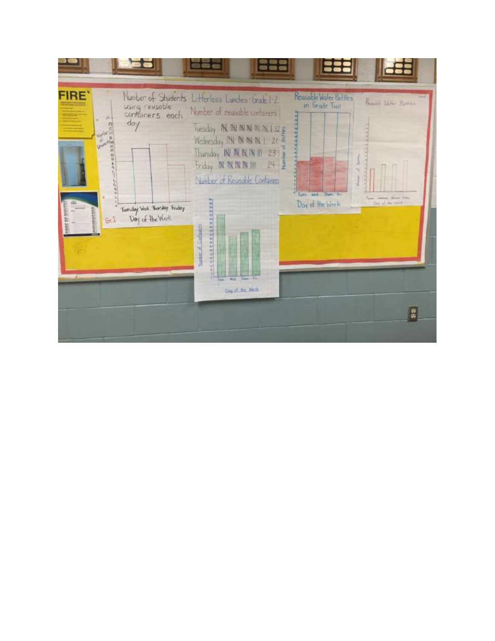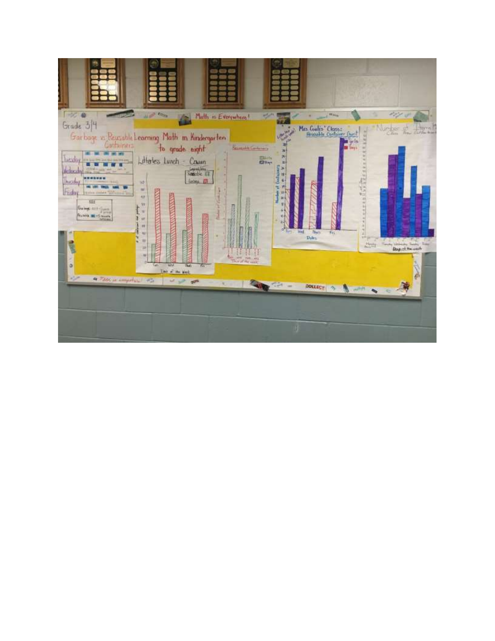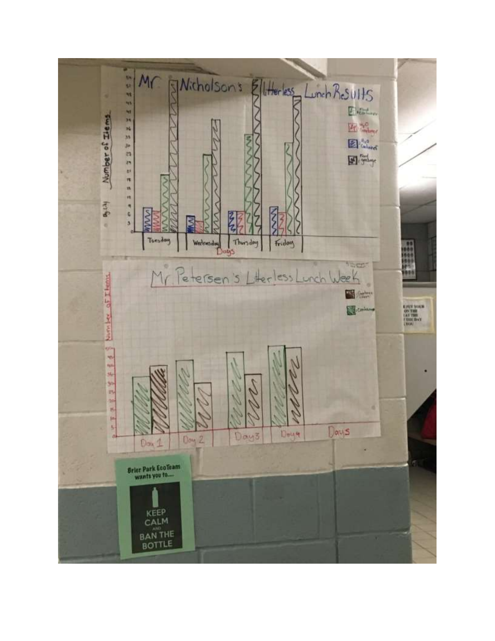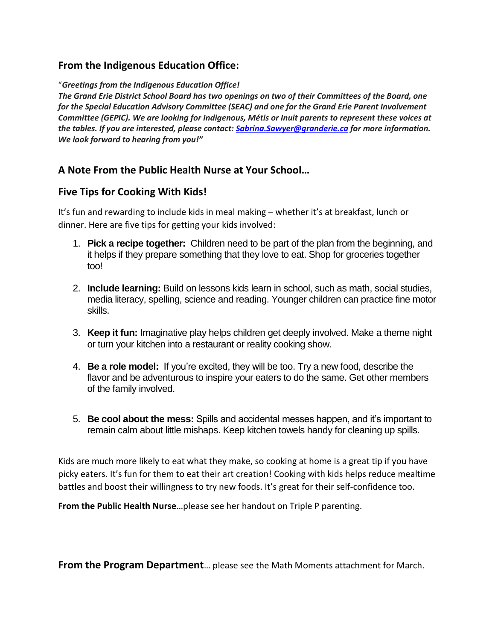## **From the Indigenous Education Office:**

#### "*Greetings from the Indigenous Education Office!*

*The Grand Erie District School Board has two openings on two of their Committees of the Board, one for the Special Education Advisory Committee (SEAC) and one for the Grand Erie Parent Involvement Committee (GEPIC). We are looking for Indigenous, Métis or Inuit parents to represent these voices at the tables. If you are interested, please contact: [Sabrina.Sawyer@granderie.ca](mailto:Sabrina.Sawyer@granderie.ca) for more information. We look forward to hearing from you!"*

# **A Note From the Public Health Nurse at Your School…**

### **Five Tips for Cooking With Kids!**

It's fun and rewarding to include kids in meal making – whether it's at breakfast, lunch or dinner. Here are five tips for getting your kids involved:

- 1. **Pick a recipe together:** Children need to be part of the plan from the beginning, and it helps if they prepare something that they love to eat. Shop for groceries together too!
- 2. **Include learning:** Build on lessons kids learn in school, such as math, social studies, media literacy, spelling, science and reading. Younger children can practice fine motor skills.
- 3. **Keep it fun:** Imaginative play helps children get deeply involved. Make a theme night or turn your kitchen into a restaurant or reality cooking show.
- 4. **Be a role model:** If you're excited, they will be too. Try a new food, describe the flavor and be adventurous to inspire your eaters to do the same. Get other members of the family involved.
- 5. **Be cool about the mess:** Spills and accidental messes happen, and it's important to remain calm about little mishaps. Keep kitchen towels handy for cleaning up spills.

Kids are much more likely to eat what they make, so cooking at home is a great tip if you have picky eaters. It's fun for them to eat their art creation! Cooking with kids helps reduce mealtime battles and boost their willingness to try new foods. It's great for their self-confidence too.

**From the Public Health Nurse**…please see her handout on Triple P parenting.

**From the Program Department**… please see the Math Moments attachment for March.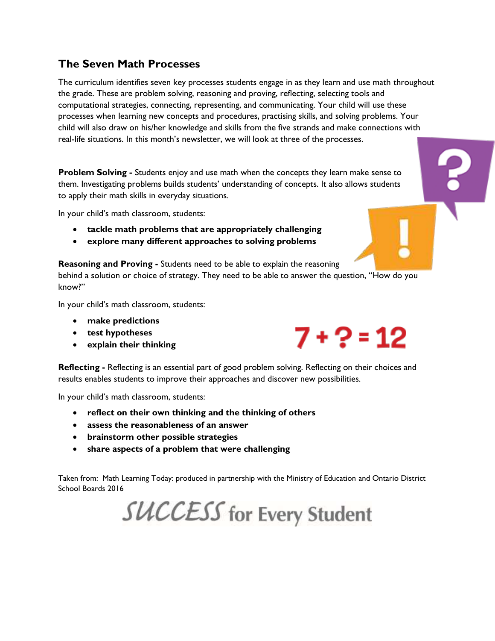# **The Seven Math Processes**

The curriculum identifies seven key processes students engage in as they learn and use math throughout the grade. These are problem solving, reasoning and proving, reflecting, selecting tools and computational strategies, connecting, representing, and communicating. Your child will use these processes when learning new concepts and procedures, practising skills, and solving problems. Your child will also draw on his/her knowledge and skills from the five strands and make connections with real-life situations. In this month's newsletter, we will look at three of the processes.

**Problem Solving -** Students enjoy and use math when the concepts they learn make sense to them. Investigating problems builds students' understanding of concepts. It also allows students to apply their math skills in everyday situations.

In your child's math classroom, students:

- **tackle math problems that are appropriately challenging**
- **explore many different approaches to solving problems**

**Reasoning and Proving -** Students need to be able to explain the reasoning behind a solution or choice of strategy. They need to be able to answer the question, "How do you know?"

In your child's math classroom, students:

- **make predictions**
- **test hypotheses**
- **explain their thinking**



**Reflecting -** Reflecting is an essential part of good problem solving. Reflecting on their choices and results enables students to improve their approaches and discover new possibilities.

In your child's math classroom, students:

- **reflect on their own thinking and the thinking of others**
- **assess the reasonableness of an answer**
- **brainstorm other possible strategies**
- **share aspects of a problem that were challenging**

Taken from: Math Learning Today: produced in partnership with the Ministry of Education and Ontario District School Boards 2016

**SUCCESS** for Every Student